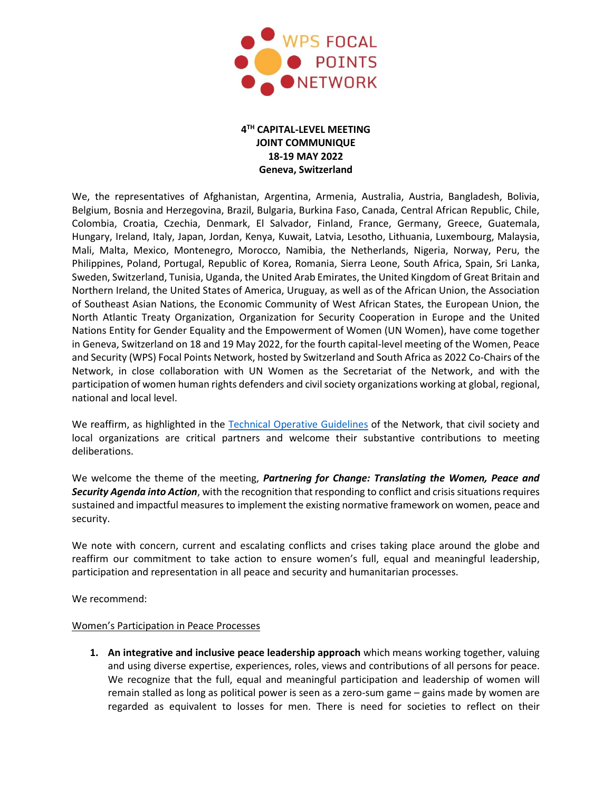

## **4 TH CAPITAL-LEVEL MEETING JOINT COMMUNIQUE 18-19 MAY 2022 Geneva, Switzerland**

We, the representatives of Afghanistan, Argentina, Armenia, Australia, Austria, Bangladesh, Bolivia, Belgium, Bosnia and Herzegovina, Brazil, Bulgaria, Burkina Faso, Canada, Central African Republic, Chile, Colombia, Croatia, Czechia, Denmark, El Salvador, Finland, France, Germany, Greece, Guatemala, Hungary, Ireland, Italy, Japan, Jordan, Kenya, Kuwait, Latvia, Lesotho, Lithuania, Luxembourg, Malaysia, Mali, Malta, Mexico, Montenegro, Morocco, Namibia, the Netherlands, Nigeria, Norway, Peru, the Philippines, Poland, Portugal, Republic of Korea, Romania, Sierra Leone, South Africa, Spain, Sri Lanka, Sweden, Switzerland, Tunisia, Uganda, the United Arab Emirates, the United Kingdom of Great Britain and Northern Ireland, the United States of America, Uruguay, as well as of the African Union, the Association of Southeast Asian Nations, the Economic Community of West African States, the European Union, the North Atlantic Treaty Organization, Organization for Security Cooperation in Europe and the United Nations Entity for Gender Equality and the Empowerment of Women (UN Women), have come together in Geneva, Switzerland on 18 and 19 May 2022, for the fourth capital-level meeting of the Women, Peace and Security (WPS) Focal Points Network, hosted by Switzerland and South Africa as 2022 Co-Chairs of the Network, in close collaboration with UN Women as the Secretariat of the Network, and with the participation of women human rights defenders and civil society organizations working at global, regional, national and local level.

We reaffirm, as highlighted in the [Technical Operative Guidelines](https://documents-dds-ny.un.org/doc/UNDOC/GEN/N18/066/73/PDF/N1806673.pdf?OpenElement) of the Network, that civil society and local organizations are critical partners and welcome their substantive contributions to meeting deliberations.

We welcome the theme of the meeting, *Partnering for Change: Translating the Women, Peace and*  **Security Agenda into Action**, with the recognition that responding to conflict and crisis situations requires sustained and impactful measures to implement the existing normative framework on women, peace and security.

We note with concern, current and escalating conflicts and crises taking place around the globe and reaffirm our commitment to take action to ensure women's full, equal and meaningful leadership, participation and representation in all peace and security and humanitarian processes.

We recommend:

## Women's Participation in Peace Processes

**1. An integrative and inclusive peace leadership approach** which means working together, valuing and using diverse expertise, experiences, roles, views and contributions of all persons for peace. We recognize that the full, equal and meaningful participation and leadership of women will remain stalled as long as political power is seen as a zero-sum game – gains made by women are regarded as equivalent to losses for men. There is need for societies to reflect on their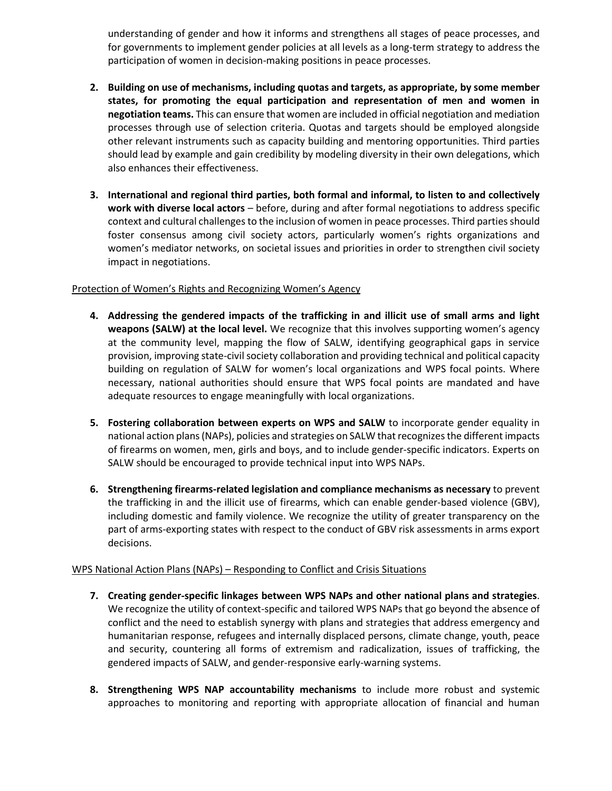understanding of gender and how it informs and strengthens all stages of peace processes, and for governments to implement gender policies at all levels as a long-term strategy to address the participation of women in decision-making positions in peace processes.

- **2. Building on use of mechanisms, including quotas and targets, as appropriate, by some member states, for promoting the equal participation and representation of men and women in negotiation teams.** This can ensure that women are included in official negotiation and mediation processes through use of selection criteria. Quotas and targets should be employed alongside other relevant instruments such as capacity building and mentoring opportunities. Third parties should lead by example and gain credibility by modeling diversity in their own delegations, which also enhances their effectiveness.
- **3. International and regional third parties, both formal and informal, to listen to and collectively work with diverse local actors** – before, during and after formal negotiations to address specific context and cultural challenges to the inclusion of women in peace processes. Third parties should foster consensus among civil society actors, particularly women's rights organizations and women's mediator networks, on societal issues and priorities in order to strengthen civil society impact in negotiations.

## Protection of Women's Rights and Recognizing Women's Agency

- **4. Addressing the gendered impacts of the trafficking in and illicit use of small arms and light weapons (SALW) at the local level.** We recognize that this involves supporting women's agency at the community level, mapping the flow of SALW, identifying geographical gaps in service provision, improving state-civil society collaboration and providing technical and political capacity building on regulation of SALW for women's local organizations and WPS focal points. Where necessary, national authorities should ensure that WPS focal points are mandated and have adequate resources to engage meaningfully with local organizations.
- **5. Fostering collaboration between experts on WPS and SALW** to incorporate gender equality in national action plans (NAPs), policies and strategies on SALW that recognizes the different impacts of firearms on women, men, girls and boys, and to include gender-specific indicators. Experts on SALW should be encouraged to provide technical input into WPS NAPs.
- **6. Strengthening firearms-related legislation and compliance mechanisms as necessary** to prevent the trafficking in and the illicit use of firearms, which can enable gender-based violence (GBV), including domestic and family violence. We recognize the utility of greater transparency on the part of arms-exporting states with respect to the conduct of GBV risk assessments in arms export decisions.

## WPS National Action Plans (NAPs) – Responding to Conflict and Crisis Situations

- **7. Creating gender-specific linkages between WPS NAPs and other national plans and strategies**. We recognize the utility of context-specific and tailored WPS NAPs that go beyond the absence of conflict and the need to establish synergy with plans and strategies that address emergency and humanitarian response, refugees and internally displaced persons, climate change, youth, peace and security, countering all forms of extremism and radicalization, issues of trafficking, the gendered impacts of SALW, and gender-responsive early-warning systems.
- **8. Strengthening WPS NAP accountability mechanisms** to include more robust and systemic approaches to monitoring and reporting with appropriate allocation of financial and human